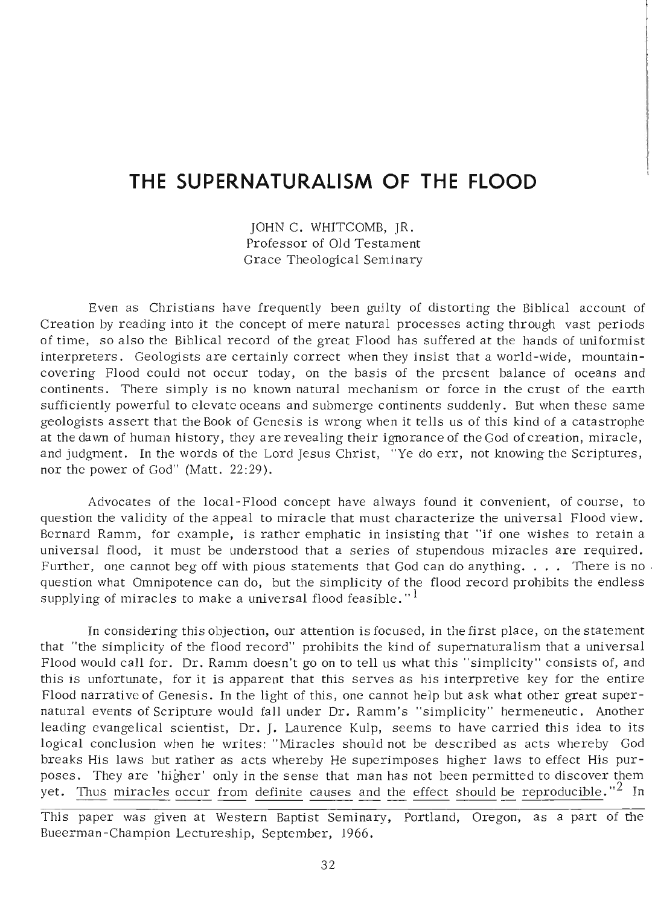# **THE SUPERNATURALISM OF THE FLOOD**

JOHN C. WHITCOMB, JR. Professor of Old Testament Grace Theological Seminary

Even as Christians have frequently been guilty of distorting the Biblical account of Creation by reading into it the concept of mere natural processes acting through vast periods of time, so also the Biblical record of the great Flood has suffered at the hands of uniformist interpreters. Geologists are certainly correct when they insist that a world-wide, mountaincovering Flood could not occur today, on the basis of the present balance of oceans and continents. There simply is no known natural mechanism or force in the crust of the earth sufficiently powerful to elevate oceans and submerge continents suddenly. But when these same geologists assert that the Book of Genesis is wrong when it tells us of this kind of a catastrophe at the dawn of human history, they are revealing their ignorance of the God of creation, miracle, and judgment. In the words of the Lord Jesus Christ, "Ye do err, not knowing the Scriptures, nor the power of God" (Matt. 22:29).

Advocates of the local-Flood concept have always found it convenient, of course, to question the validity of the appeal to miracle that must characterize the universal Flood view. Bernard Ramm, for example, is rather emphatic in insisting that "if one wishes to retain a universal flood, it must be understood that a series of stupendous miracles are required. Further, one cannot beg off with pious statements that God can do anything.  $\dots$ . There is no question what Omnipotence can do, but the simplicity of the flood record prohibits the endless supplying of miracles to make a universal flood feasible."<sup>1</sup>

In considering this objection, our attention is focused, in the first place, on the statement that "the simplicity of the flood record" prohibits the kind of supernaturalism that a universal F lood would call for. Dr. Ramm doesn't go on to tell us what this "simplicity" consists of, and this is unfortunate, for it is apparent that this serves as his interpretive key for the entire Flood narrative of Genesis. In the light of this, one cannot help but ask what other great supernatural events of Scripture would fall under Dr. Ramm's "simplicity" hermeneutic. Another leading evangelical scientist, Dr. J. Laurence Kulp, seems to have carried this idea to its logical conclusion when he writes: "Miracles should not be described as acts whereby God breaks His laws but rather as acts whereby He superimposes higher laws to effect His purposes. They are 'higher' only in the sense that man has not been permitted to discover them yet. Thus miracles occur from definite causes and the effect should be reproducible."<sup>2</sup> In

This paper was given at Western Baptist Seminary, Portland, Oregon, as a part of the Bueerman-Champion Lectureship, September, 1966.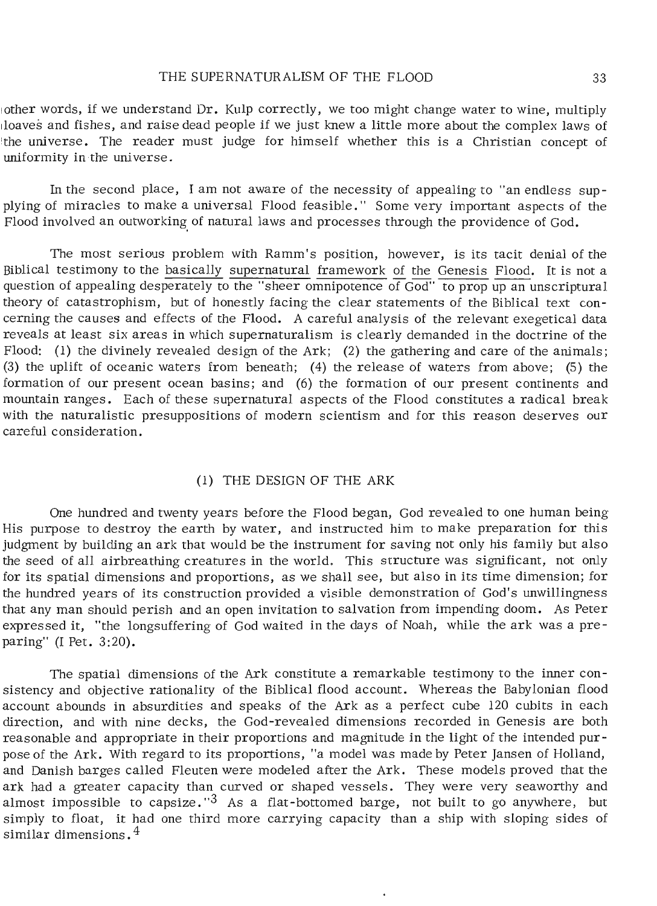other words, if we understand Dr. Kulp correctly, we too might change water to wine, multiply Iloaves and fishes, and raise dead people if we just knew a little more about the complex laws of the universe. The reader must judge for himself whether this is a Christian concept of uniformity in the universe.

In the second place, I am not aware of the necessity of appealing to "an endless supplying of miracles to make a universal Flood feasible." Some very important aspects of the Flood involved an outworking of natural laws and processes through the providence of God.

The most serious problem with Ramm's position, however, is its tacit denial of the Biblical testimony to the basically supernatural framework of the Genesis Flood. It is not a question of appealing desperately to the "sheer omnipotence of God" to prop up an unscriptural theory of catastrophism, but of honestly facing the clear statements of the Biblical text concerning the causes and effects of the Flood. A careful analysis of the relevant exegetical data reveals at least six areas in which supernaturalism is clearly demanded in the doctrine of the Flood: (1) the divinely revealed design of the Ark; (2) the gathering and care of the animals; (3) the uplift of oceanic waters from beneath; (4) the release of waters from above; (5) the formation of our present ocean basins; and (6) the formation of our present continents and mountain ranges. Each of these supernatural aspects of the Flood constitutes a radical break with the naturalistic presuppositions of modern scientism and for this reason deserves our careful consideration.

## (1) THE DESIGN OF THE ARK

One hundred and twenty years before the Flood began, God revealed to one human being His purpose to destroy the earth by water, and instructed him to make preparation for this judgment by building an ark that would be the instrument for saving not only his family but also the seed of all airbreathing creatures in the world. This structure was significant, not only for its spatial dimensions and proportions, as we shall see, but also in its time dimension; for the hundred years of its construction provided a visible demonstration of God's unwillingness that any man should perish and an open invitation to salvation from impending doom. As Peter expressed it, "the longsuffering of God waited in the days of Noah, while the ark was a preparing" (I Pet. 3:20).

The spatial dimensions of the Ark constitute a remarkable testimony to the inner consistency and objective rationality of the Biblical flood account. Whereas the Babylonian flood account abounds in absurdities and speaks of the Ark as a perfect cube 120 cubits in each direction, and with nine decks, the God-revealed dimensions recorded in Genesis are both reasonable and appropriate in their proportions and magnitude in the light of the intended purpose of the Ark. With regard to its proportions, "a model was made by Peter Jansen of Holland, and Danish barges called Fleuten were modeled after the Ark. These models proved that the ark had a greater capacity than curved or shaped vessels. They were very seaworthy and almost impossible to capsize."<sup>3</sup> As a flat-bottomed barge, not built to go anywhere, but simply to float, it had one third more carrying capacity than a ship with sloping sides of similar dimensions. 4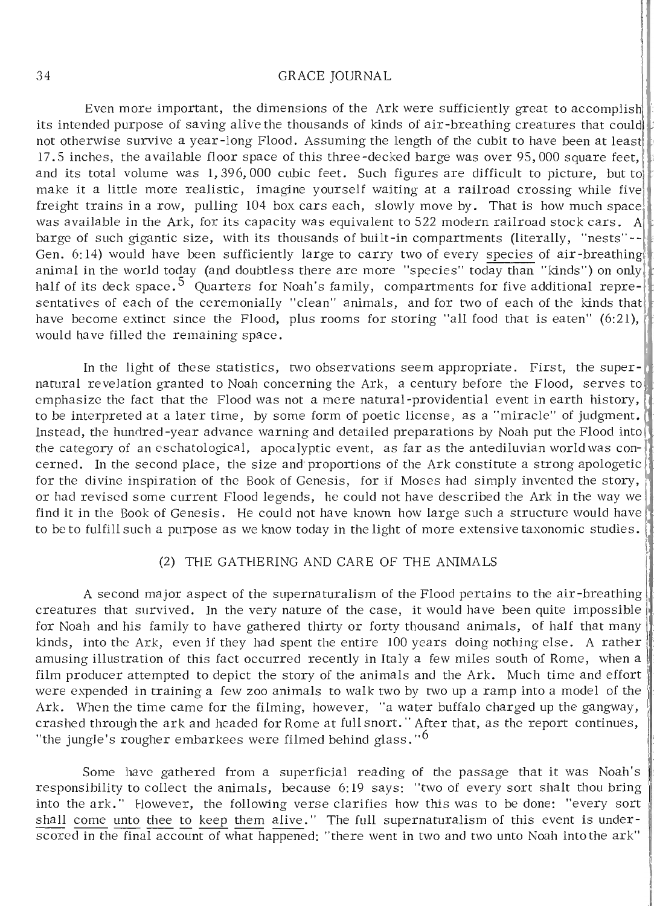#### 34 GRACE JOURNAL

Even more important, the dimensions of the Ark were sufficiently great to accomplish its intended purpose of saving alive the thousands of kinds of air-breathing creatures that could not otherwise survive a year-long Flood. Assuming the length of the cubit to have been at least 17.5 inches, the available floor space of this three-decked barge was over 95,000 square feet, and its total volume was 1,396,000 cubic feet. Such figures are difficult to picture, but to make it a little more realistic, imagine yourself waiting at a railroad crossing while five freight trains in a row, pulling 104 box cars each, slowly move by. That is how much space was available in the Ark, for its capacity was equivalent to 522 modern railroad stock cars. A barge of such gigantic size, with its thousands of built-in compartments (literally, "nests"--Gen. 6:14) would have been sufficiently large to carry two of every species of air-breathing animal in the world today (and doubtless there are more "species" today than "kinds") on only half of its deck space.<sup>5</sup> Quarters for Noah's family, compartments for five additional representatives of each of the ceremonially "clean" animals, and for two of each of the kinds that have become extinct since the Flood, plus rooms for storing "all food that is eaten" (6:21), would have filled the remaining space.

In the light of these statistics, two observations seem appropriate. First, the supernatural revelation granted to Noah concerning the Ark, a century before the Flood, serves to emphasize the fact that the Flood was not a mere natural-providential event in earth history, to be interpreted at a later time, by some form of poetic license, as a "miracle" of judgment. Instead, the hundred -year advance warning and detailed preparations by Noah put the Flood into the category of an eschatological, apocalyptic event, as far as the antediluvian world was concerned. In the second place, the size and' proportions of the Ark constitute a strong apologetic for the divine inspiration of the Book of Genesis, for if Moses had simply invented the story, or had revised some current Flood legends, he could not have described the Ark in the way we find it in the Book of Genesis. He could not have known how large such a structure would have to be to fulfill such a purpose as we know today in the light of more extensive taxonomic studies.

# (2) THE GATHERING AND CARE OF THE ANIMALS

A second major aspect of the supernaturalism of the Flood pertains to the air-breathing creatures that survived. In the very nature of the case, it would have been quite impossible for Noah and his family to have gathered thirty or forty thousand animals, of half that many kinds, into the Ark, even if they had spent the entire 100 years doing nothing else. A rather amusing illustration of this fact occurred recently in Italy a few miles south of Rome, when a film producer attempted to depict the story of the animals and the Ark. Much time and effort were expended in training a few zoo animals to walk two by two up a ramp into a model of the Ark. When the time came for the filming, however, "a water buffalo charged up the gangway, crashed through the ark and headed for Rome at full snort. " After that, as the report continues, "the jungle's rougher embarkees were filmed behind glass." $\overline{6}$ 

Some have gathered from a superficial reading of the passage that it was Noah's responsibility to collect the animals, because 6: 19 says: "two of every sort shalt thou bring into the ark." However, the following verse clarifies how this was to be done: "every sort shall come unto thee to keep them alive." The full supernaturalism of this event is underscored in the final account of what happened: "there went in two and two unto Noah into the ark"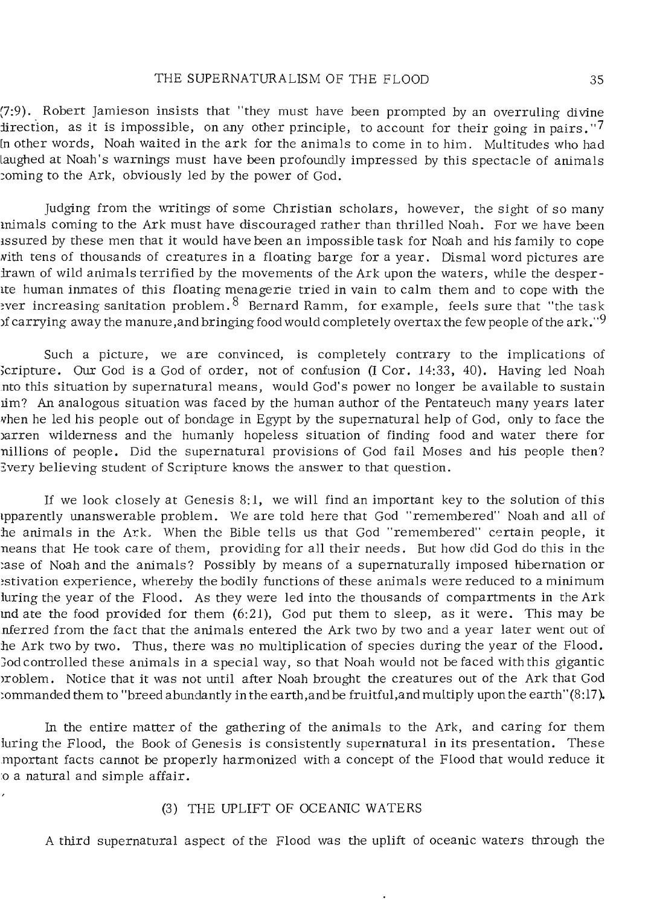#### THE SUPERNATURALISM OF THE FLOOD 35

(7:9). Robert Jamieson insists that "they must have been prompted by an overruling divine direction, as it is impossible, on any other principle, to account for their going in pairs."<sup>7</sup> [n other words, Noah waited in the ark for the animals to come in to him. Multitudes who had laughed at Noah's warnings must have been profoundly impressed by this spectacle of animals coming to the Ark, obviously led by the power of God.

Judging from the writings of some Christian scholars, however, the sight of so many lnimals coming to the Ark must have discouraged rather than thrilled Noah. For we have been Issured by these men that it would have been an impossible task for Noah and his family to cope with tens of thousands of creatures in a floating barge for a year. Dismal word pictures are irawn of wild animals terrified by the movements of the Ark upon the waters, while the desper-Ite human inmates of this floating menagerie tried in vain to calm them and to cope with the ever increasing sanitation problem.  $\delta$  Bernard Ramm, for example, feels sure that "the task )f carrying away the manure, and bringing food would completely overtax the few people of the ark." $9$ 

Such a picture, we are convinced, is completely contrary to the implications of icripture. Our God is a God of order, not of confusion (I Cor. 14:33, 40). Having led Noah .nto this situation by supernatural means, would God's power no longer be available to sustain rim? An analogous situation was faced by the human author of the Pentateuch many years later when he led his people out of bondage in Egypt by the supernatural help of God, only to face the )arren wilderness and the humanly hopeless situation of finding food and water there for nillions of people. Did the supernatural provisions of God fail Moses and his people then? Every believing student of Scripture knows the answer to that question.

If we look closely at Genesis 8:1, we will find an important key to the solution of this lpparently unanswerable problem. We are told here that God "remembered" Noah and all of he animals in the Ark. When the Bible tells us that God "remembered" certain people, it neans that He took care of them, providing for all their needs. But how did God do this in the ~ase of Noah and the animals? Possibly by means of a supernaturally imposed hibernation or ~stivation experience, whereby the bodily functions of these animals were reduced to a minimum luring the year of the Flood. As they were led into the thousands of compartments in the Ark and ate the food provided for them  $(6:21)$ , God put them to sleep, as it were. This may be .nferred from the fact that the animals entered the Ark two by two and a year later went out of he Ark two by two. Thus, there was no multiplication of species during the year of the Flood. }od controlled these animals in a special way, so that Noah would not be faced with this gigantic )roblem. Notice that it was not until after Noah brought the creatures out of the Ark that God commanded them to "breed abundantly in the earth, and be fruitful, and multiply upon the earth" (8:17).

In the entire matter of the gathering of the animals to the Ark, and caring for them luring the Flood, the Book of Genesis is consistently supernatural in its presentation. These mportant facts cannot be properly harmonized with a concept of the Flood that would reduce it :0 a natural and simple affair.

#### (3) THE UPLIFT OF OCEANIC WATERS

A third supernatural aspect of the Flood was the uplift of oceanic waters through the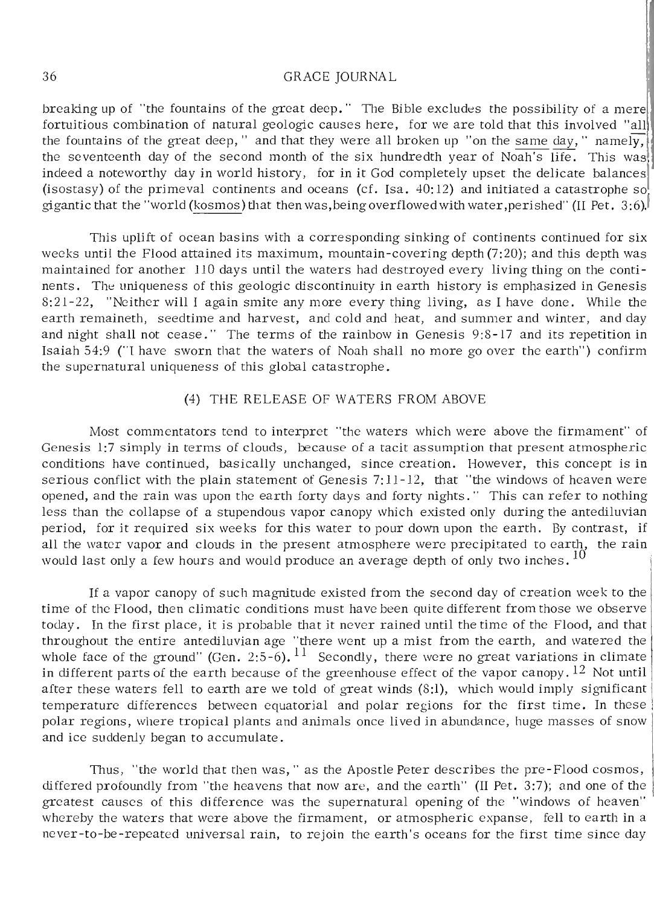## 36 GRACE JOURNAL

breaking up of "the fountains of the great deep." The Bible excludes the possibility of a mere. fortuitious combination of natural geologic causes here, for we are told that this involved "all the fountains of the great deep," and that they were all broken up "on the same day," namely, the seventeenth day of the second month of the six hundredth year of Noah's life. This was indeed a noteworthy day in world history, for in it God completely upset the delicate balances (isostasy) of the primeval continents and oceans (cf. Isa.  $40:12$ ) and initiated a catastrophe so gigantic that the "world (kosmos) that then was, being overflowed with water, perished" (II Pet.  $3:6$ ).

This uplift of ocean basins with a corresponding sinking of continents continued for six weeks until the Flood attained its maximum, mountain-covering depth (7:20); and this depth was maintained for another 110 days until the waters had destroyed every living thing on the continents. The uniqueness of this geologic discontinuity in earth history is emphasized in Genesis 8:21-22, "Neither will I again smite any more every thing living, as I have done. While the earth remaineth, seedtime and harvest, and cold and heat, and summer and winter, and day and night shall not cease." The terms of the rainbow in Genesis 9:8-17 and its repetition in Isaiah 54:9 ("I have sworn that the waters of Noah shall no more go over the earth") confirm the supernatural uniqueness of this global catastrophe.

# (4) THE RELEASE OF WATERS FROM ABOVE

Most commentators tend to interpret "the waters which were above the firmament" of Genesis 1:7 simply in terms of clouds, because of a tacit assumption that present atmospheric conditions have continued, basically unchanged, since creation. However, this concept is in serious conflict with the plain statement of Genesis  $7:11-12$ , that "the windows of heaven were opened, and the rain was upon the earth forty days and forty nights. " This can refer to nothing less than the collapse of a stupendous vapor canopy which existed only during the antediluvian period, for it required six weeks for this water to pour down upon the earth. By contrast, if all the water vapor and clouds in the present atmosphere were precipitated to earth, the rain would last only a few hours and would produce an average depth of only two inches.  $^{10}$ 

If a vapor canopy of such magnitude existed from the second day of creation week to the ' time of the Flood, then climatic conditions must have been quite different from those we observe today. In the first place, it is probable that it never rained until the time of the Flood, and that throughout the entire antediluvian age "there went up a mist from the earth, and watered the whole face of the ground" (Gen. 2:5-6).  $^{11}$  Secondly, there were no great variations in climate in different parts of the earth because of the greenhouse effect of the vapor canopy.  $12$  Not until after these waters fell to earth are we told of great winds (8:1), which would imply significant temperature differences between equatorial and polar regions for the first time. In these polar regions, where tropical plants and animals once lived in abundance, huge masses of snow and ice suddenly began to accumulate.

Thus, "the world that then was," as the Apostle Peter describes the pre-Flood cosmos, differed profoundly from "the heavens that now are, and the earth" (II Pet. 3:7); and one of the greatest causes of this difference was the supernatural opening of the "windows of heaven" whereby the waters that were above the firmament, or atmospheric expanse, fell to earth in a never-to-be-repeated universal rain, to rejoin the earth's oceans for the first time since day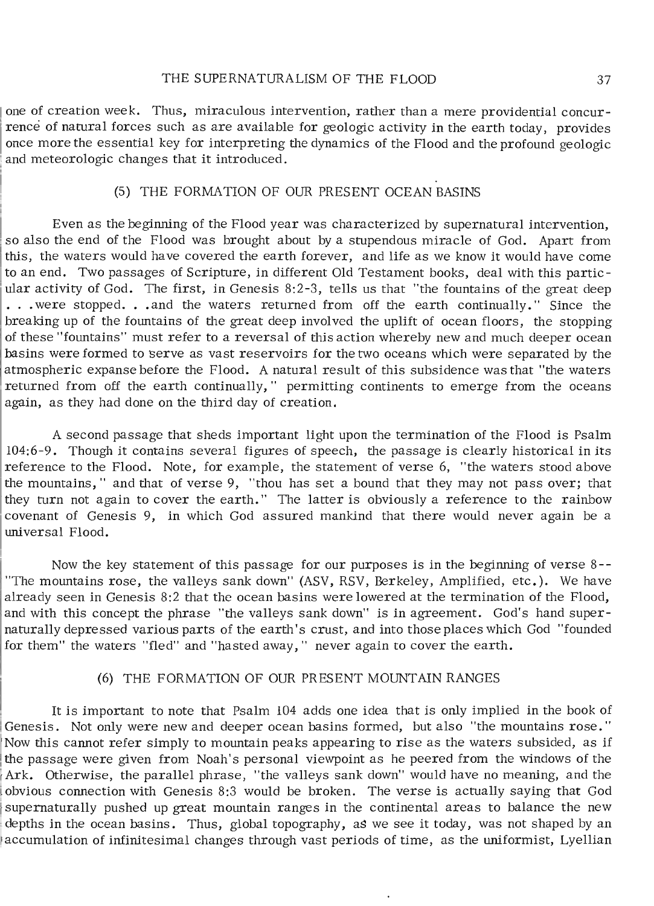#### THE SUPERNATURALISM OF THE FLOOD 37

one of creation week. Thus, miraculous intervention, rather than a mere providential concurrence of natural forces such as are available for geologic activity in the earth today, provides once more the essential key for interpreting the dynamics of the Flood and the profound geologic and meteorologic changes that it introduced.

## (5) THE FORMATION OF OUR PRESENT OCEAN BASINS

Even as the beginning of the Flood year was characterized by supernatural intervention, so also the end of the Flood was brought about by a stupendous miracle of God. Apart from this, the waters would have covered the earth forever, and life as we know it would have come to an end. Two passages of Scripture, in different Old Testament books, deal with this particular activity of God. The first, in Genesis 8:2-3, tells us that "the fountains of the great deep . . . were stopped. . . and the waters returned from off the earth continually." Since the breaking up of the fountains of the great deep involved the uplift of ocean floors, the stopping of these "fountains" must refer to a reversal of this action whereby new and much deeper ocean basins were formed to serve as vast reservoirs for the two oceans which were separated by the atmospheric expanse before the Flood. A natural result of this subsidence was that "the waters returned from off the earth continually," permitting continents to emerge from the oceans again, as they had done on the third day of creation.

A second passage that sheds important light upon the termination of the Flood is Psalm 104: 6 -9. Though it contains several figures of speech, the passage is clearly historical in its reference to the Flood. Note, for example, the statement of verse 6, "the waters stood above the mountains, " and that of verse 9, "thou has set a bound that they may not pass over; that they turn not again to cover the earth." The latter is obviously a reference to the rainbow covenant of Genesis 9, in which God assured mankind that there would never again be a universal Flood.

Now the key statement of this passage for our purposes is in the beginning of verse 8--"The mountains rose, the valleys sank down" (ASV, RSV, Berkeley, Amplified, etc.). We have already seen in Genesis 8:2 that the ocean basins were lowered at the termination of the Flood, and with this concept the phrase "the valleys sank down" is in agreement. God's hand supernaturally depressed various parts of the earth's crust, and into those places which God "founded for them" the waters "fled" and "hasted away," never again to cover the earth.

## (6) THE FORMATION OF OUR PRESENT MOUNTAIN RANGES

It is important to note that Psalm 104 adds one idea that is only implied in the book of Genesis. Not only were new and deeper ocean basins formed, but also "the mountains rose. " Now this cannot refer simply to mountain peaks appearing to rise as the waters subsided, as if the passage were given from Noah's personal viewpoint as he peered from the windows of the Ark. Otherwise, the parallel phrase, "the valleys sank down" would have no meaning, and the obvious connection with Genesis 8:3 would be broken. The verse is actually saying that God supernaturally pushed up great mountain ranges in the continental areas to balance the new depths in the ocean basins. Thus, global topography, as we see it today, was not shaped by an accumulation of infinitesimal changes through vast periods of time, as the uniformist, Lyellian